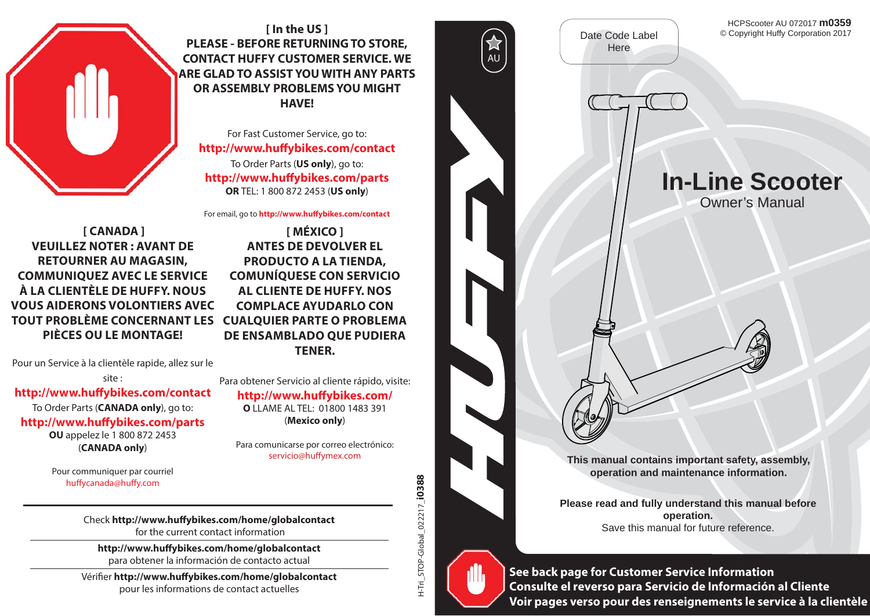

**[ In the US ] PLEASE - BEFORE RETURNING TO STORE, CONTACT HUFFY CUSTOMER SERVICE. WE ARE GLAD TO ASSIST YOU WITH ANY PARTS OR ASSEMBLY PROBLEMS YOU MIGHT HAVE!**

For Fast Customer Service, go to: **http://www.huff ybikes.com/contact** To Order Parts (**US only**), go to: **http://www.huff ybikes.com/parts OR** TEL: 1 800 872 2453 (**US only**)

For email, go to **http://www.huffybikes.com/contact** 

 **[ CANADA ] VEUILLEZ NOTER : AVANT DE RETOURNER AU MAGASIN, COMMUNIQUEZ AVEC LE SERVICE À LA CLIENTÈLE DE HUFFY. NOUS VOUS AIDERONS VOLONTIERS AVEC TOUT PROBLÈME CONCERNANT LES CUALQUIER PARTE O PROBLEMA PIÈCES OU LE MONTAGE!**

Pour un Service à la clientèle rapide, allez sur le

site :

#### http://www.huffybikes.com/contact

To Order Parts (**CANADA only**), go to: **http://www.huff ybikes.com/parts OU** appelez le 1 800 872 2453 (**CANADA only**)

> Pour communiquer par courriel huffycanada@huffy.com

**[ MÉXICO ] ANTES DE DEVOLVER EL PRODUCTO A LA TIENDA, COMUNÍQUESE CON SERVICIO AL CLIENTE DE HUFFY. NOS COMPLACE AYUDARLO CON DE ENSAMBLADO QUE PUDIERA TENER.**

Para obtener Servicio al cliente rápido, visite: **http://www.huff ybikes.com/ O** LLAME AL TEL: 01800 1483 391 (**Mexico only**)

Para comunicarse por correo electrónico: servicio@huffymex.com



**Please read and fully understand this manual before operation.** Save this manual for future reference.



Check http://www.huffybikes.com/home/globalcontact<br>
Check http://www.huffybikes.com/home/globalcontact<br>
for the current contact information<br>
the current contact of contact of the current contact information<br>
Although the c **Voir pages verso pour des renseignements le service à la clientèle**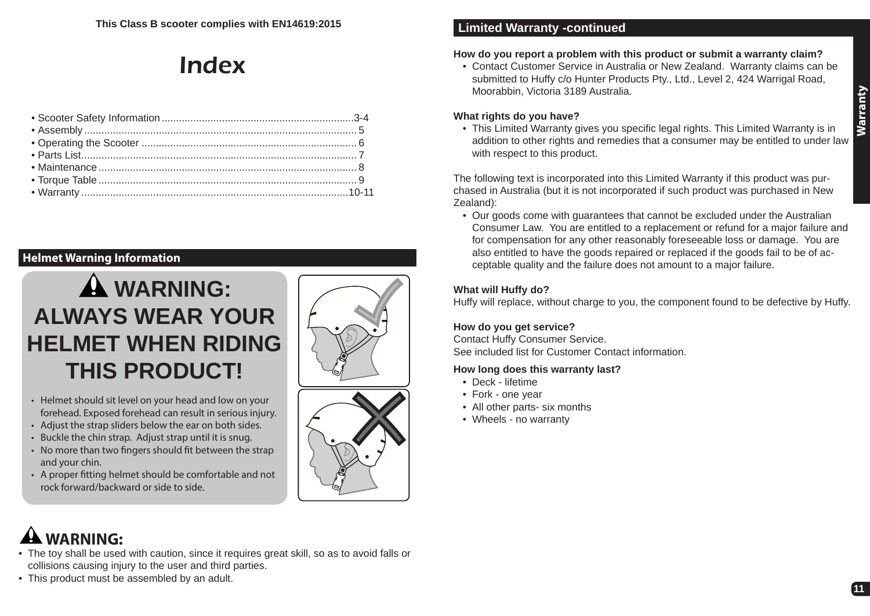# Index

# **Helmet Warning Information**





- Helmet should sit level on your head and low on your forehead. Exposed forehead can result in serious injury.
- Adjust the strap sliders below the ear on both sides.
- Buckle the chin strap. Adjust strap until it is snug.
- No more than two fingers should fit between the strap and your chin.
- A proper fitting helmet should be comfortable and not rock forward/backward or side to side.

# **Limited Warranty -continued**

# **How do you report a problem with this product or submit a warranty claim?**

• Contact Customer Service in Australia or New Zealand. Warranty claims can be submitted to Huffy c/o Hunter Products Pty., Ltd., Level 2, 424 Warrigal Road, Moorabbin, Victoria 3189 Australia.

#### **What rights do you have?**

• This Limited Warranty gives you specific legal rights. This Limited Warranty is in addition to other rights and remedies that a consumer may be entitled to under law with respect to this product. **Warranty**

The following text is incorporated into this Limited Warranty if this product was purchased in Australia (but it is not incorporated if such product was purchased in New Zealand):

• Our goods come with guarantees that cannot be excluded under the Australian Consumer Law. You are entitled to a replacement or refund for a major failure and for compensation for any other reasonably foreseeable loss or damage. You are also entitled to have the goods repaired or replaced if the goods fail to be of acceptable quality and the failure does not amount to a major failure.

### **What will Huffy do?**

Huffy will replace, without charge to you, the component found to be defective by Huffy.

### **How do you get service?**

Contact Huffy Consumer Service. See included list for Customer Contact information.

#### **How long does this warranty last?**

- Deck lifetime
- Fork one year
- All other parts- six months
- Wheels no warranty

# **WARNING:**

- The toy shall be used with caution, since it requires great skill, so as to avoid falls or collisions causing injury to the user and third parties.
- This product must be assembled by an adult.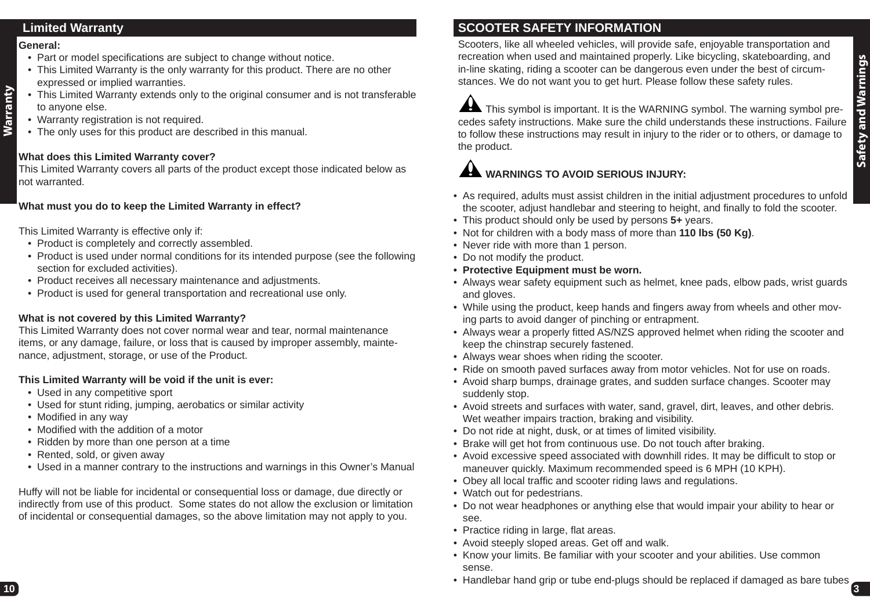# **Limited Warranty**

#### **General:**

**Warranty**

- Part or model specifications are subject to change without notice.
- This Limited Warranty is the only warranty for this product. There are no other expressed or implied warranties.
- This Limited Warranty extends only to the original consumer and is not transferable to anyone else.
- Warranty registration is not required.
- The only uses for this product are described in this manual.

### **What does this Limited Warranty cover?**

This Limited Warranty covers all parts of the product except those indicated below as not warranted.

### **What must you do to keep the Limited Warranty in effect?**

This Limited Warranty is effective only if:

- Product is completely and correctly assembled.
- Product is used under normal conditions for its intended purpose (see the following section for excluded activities).
- Product receives all necessary maintenance and adjustments.
- Product is used for general transportation and recreational use only.

### **What is not covered by this Limited Warranty?**

This Limited Warranty does not cover normal wear and tear, normal maintenance items, or any damage, failure, or loss that is caused by improper assembly, maintenance, adjustment, storage, or use of the Product.

# **This Limited Warranty will be void if the unit is ever:**

- Used in any competitive sport
- Used for stunt riding, jumping, aerobatics or similar activity
- Modified in any way
- Modified with the addition of a motor
- Ridden by more than one person at a time
- Rented, sold, or given away
- Used in a manner contrary to the instructions and warnings in this Owner's Manual

Huffy will not be liable for incidental or consequential loss or damage, due directly or indirectly from use of this product. Some states do not allow the exclusion or limitation of incidental or consequential damages, so the above limitation may not apply to you.

# **SCOOTER SAFETY INFORMATION**

Scooters, like all wheeled vehicles, will provide safe, enjoyable transportation and recreation when used and maintained properly. Like bicycling, skateboarding, and in-line skating, riding a scooter can be dangerous even under the best of circumstances. We do not want you to get hurt. Please follow these safety rules.

This symbol is important. It is the WARNING symbol. The warning symbol precedes safety instructions. Make sure the child understands these instructions. Failure to follow these instructions may result in injury to the rider or to others, or damage to the product.

# **WARNINGS TO AVOID SERIOUS INJURY:**

- As required, adults must assist children in the initial adjustment procedures to unfold the scooter, adjust handlebar and steering to height, and finally to fold the scooter.
- This product should only be used by persons **5+** years.
- Not for children with a body mass of more than **110 lbs (50 Kg)**.
- Never ride with more than 1 person.
- Do not modify the product.
- **Protective Equipment must be worn.**
- Always wear safety equipment such as helmet, knee pads, elbow pads, wrist guards and gloves.
- While using the product, keep hands and fingers away from wheels and other moving parts to avoid danger of pinching or entrapment.
- Always wear a properly fitted AS/NZS approved helmet when riding the scooter and keep the chinstrap securely fastened.
- Always wear shoes when riding the scooter.
- Ride on smooth paved surfaces away from motor vehicles. Not for use on roads.
- Avoid sharp bumps, drainage grates, and sudden surface changes. Scooter may suddenly stop.
- Avoid streets and surfaces with water, sand, gravel, dirt, leaves, and other debris. Wet weather impairs traction, braking and visibility.
- Do not ride at night, dusk, or at times of limited visibility.
- Brake will get hot from continuous use. Do not touch after braking.
- Avoid excessive speed associated with downhill rides. It may be difficult to stop or maneuver quickly. Maximum recommended speed is 6 MPH (10 KPH).
- Obey all local traffic and scooter riding laws and regulations.
- Watch out for pedestrians.
- Do not wear headphones or anything else that would impair your ability to hear or see.
- Practice riding in large, flat areas.
- Avoid steeply sloped areas. Get off and walk.
- Know your limits. Be familiar with your scooter and your abilities. Use common sense.
- Handlebar hand grip or tube end-plugs should be replaced if damaged as bare tubes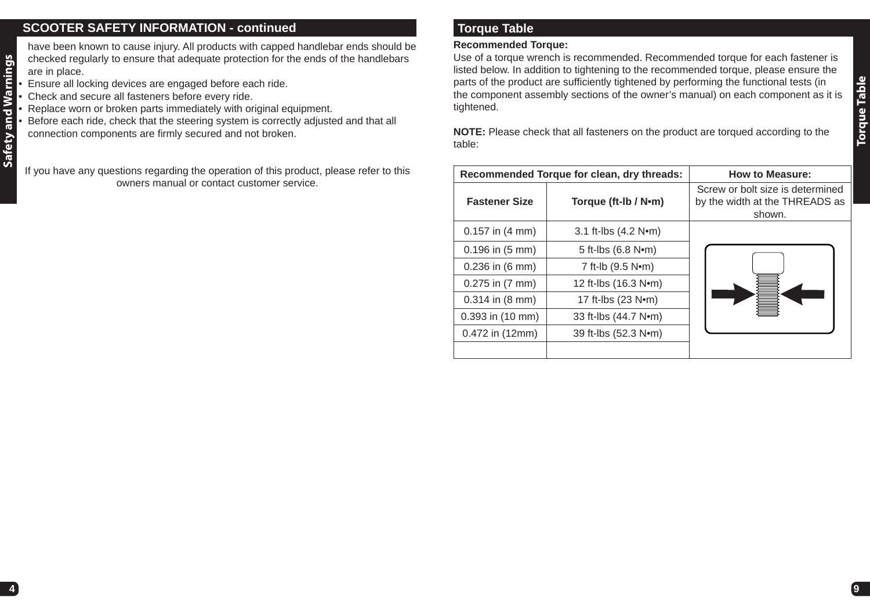# **SCOOTER SAFETY INFORMATION - continued**

Safety and Warnings **Safety and Warnings** have been known to cause injury. All products with capped handlebar ends should be checked regularly to ensure that adequate protection for the ends of the handlebars are in place.

- Ensure all locking devices are engaged before each ride.
- Check and secure all fasteners before every ride.
- Replace worn or broken parts immediately with original equipment.

• Before each ride, check that the steering system is correctly adjusted and that all connection components are firmly secured and not broken.

If you have any questions regarding the operation of this product, please refer to this owners manual or contact customer service.

# **Torque Table**

#### **Recommended Torque:**

Use of a torque wrench is recommended. Recommended torque for each fastener is listed below. In addition to tightening to the recommended torque, please ensure the parts of the product are sufficiently tightened by performing the functional tests (in the component assembly sections of the owner's manual) on each component as it is tightened.

**NOTE:** Please check that all fasteners on the product are torqued according to the table:

|                             | Recommended Torque for clean, dry threads: | <b>How to Measure:</b>                                                       |
|-----------------------------|--------------------------------------------|------------------------------------------------------------------------------|
| <b>Fastener Size</b>        | Torque (ft-Ib / N•m)                       | Screw or bolt size is determined<br>by the width at the THREADS as<br>shown. |
| $0.157$ in $(4 \text{ mm})$ | 3.1 ft-lbs $(4.2 Nem)$                     |                                                                              |
| $0.196$ in $(5 \text{ mm})$ | 5 ft-lbs (6.8 N•m)                         |                                                                              |
| $0.236$ in $(6 \text{ mm})$ | 7 ft-lb (9.5 Nom)                          |                                                                              |
| $0.275$ in $(7 \text{ mm})$ | 12 ft-lbs (16.3 N•m)                       |                                                                              |
| $0.314$ in $(8 \text{ mm})$ | 17 ft-lbs (23 N•m)                         |                                                                              |
| 0.393 in (10 mm)            | 33 ft-lbs (44.7 N•m)                       |                                                                              |
| 0.472 in (12mm)             | 39 ft-lbs (52.3 Nom)                       |                                                                              |
|                             |                                            |                                                                              |

**Torque Table Torque Table**

**9**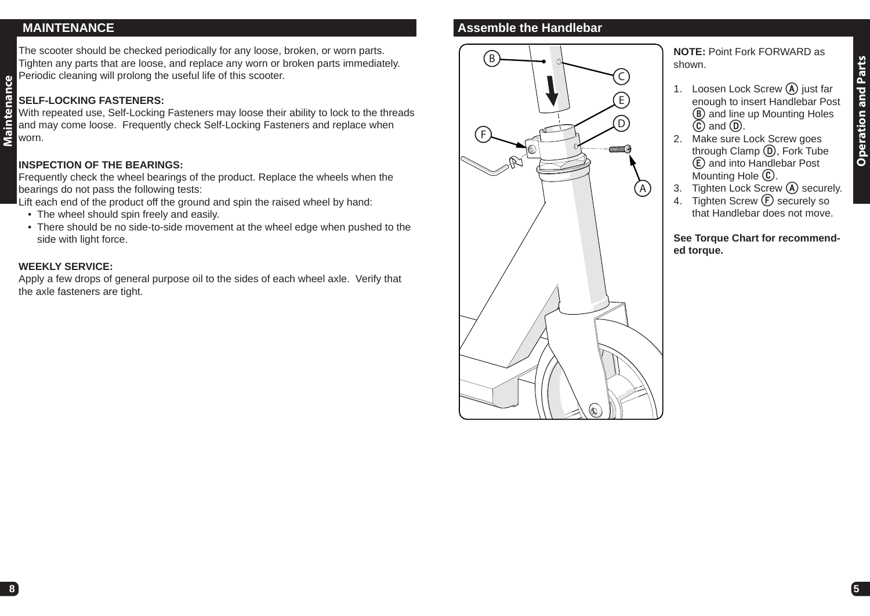# **MAINTENANCE**

**Maintenance**

Maintenance

The scooter should be checked periodically for any loose, broken, or worn parts. Tighten any parts that are loose, and replace any worn or broken parts immediately. Periodic cleaning will prolong the useful life of this scooter.

## **SELF-LOCKING FASTENERS:**

With repeated use, Self-Locking Fasteners may loose their ability to lock to the threads and may come loose. Frequently check Self-Locking Fasteners and replace when worn.

## **INSPECTION OF THE BEARINGS:**

Frequently check the wheel bearings of the product. Replace the wheels when the bearings do not pass the following tests:

Lift each end of the product off the ground and spin the raised wheel by hand:

- The wheel should spin freely and easily.
- There should be no side-to-side movement at the wheel edge when pushed to the side with light force.

#### **WEEKLY SERVICE:**

Apply a few drops of general purpose oil to the sides of each wheel axle. Verify that the axle fasteners are tight.

# **Assemble the Handlebar**



**NOTE:** Point Fork FORWARD as shown.

- 1. Loosen Lock Screw **A** just far enough to insert Handlebar Post **B** and line up Mounting Holes **C** and **D**.
- 2. Make sure Lock Screw goes through Clamp **D**, Fork Tube **E** and into Handlebar Post Mounting Hole **C**.
- 3. Tighten Lock Screw **A** securely.
- 4. Tighten Screw **(F)** securely so that Handlebar does not move.

**See Torque Chart for recommended torque.**